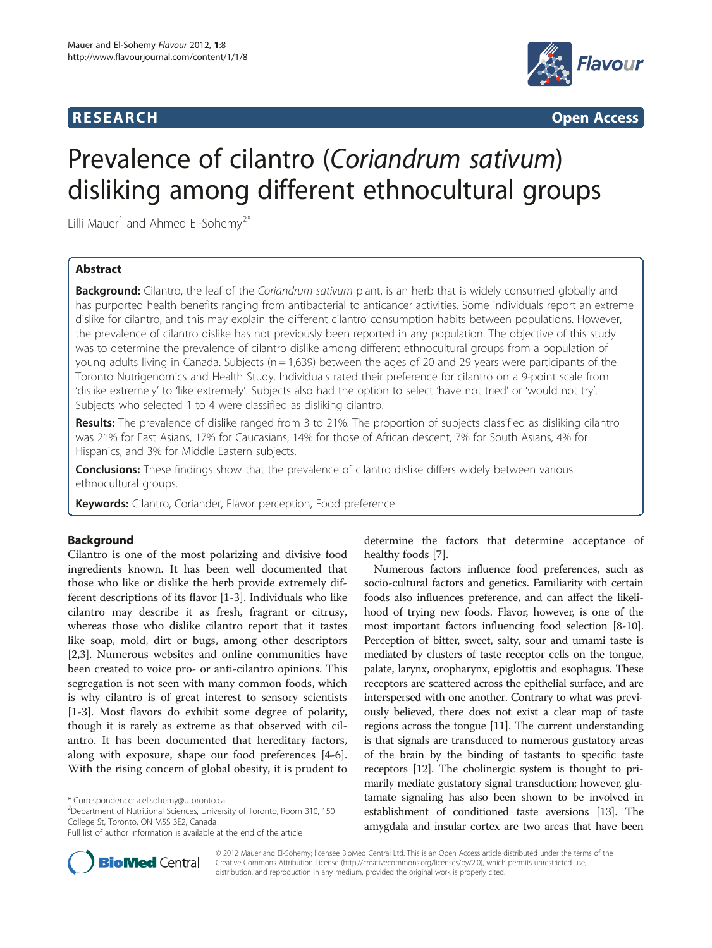## **RESEARCH CONSIDERING ACCESS**



# Prevalence of cilantro (Coriandrum sativum) disliking among different ethnocultural groups

Lilli Mauer<sup>1</sup> and Ahmed El-Sohemv<sup>2\*</sup>

## Abstract

**Background:** Cilantro, the leaf of the *Coriandrum sativum* plant, is an herb that is widely consumed globally and has purported health benefits ranging from antibacterial to anticancer activities. Some individuals report an extreme dislike for cilantro, and this may explain the different cilantro consumption habits between populations. However, the prevalence of cilantro dislike has not previously been reported in any population. The objective of this study was to determine the prevalence of cilantro dislike among different ethnocultural groups from a population of young adults living in Canada. Subjects ( $n = 1,639$ ) between the ages of 20 and 29 years were participants of the Toronto Nutrigenomics and Health Study. Individuals rated their preference for cilantro on a 9-point scale from 'dislike extremely' to 'like extremely'. Subjects also had the option to select 'have not tried' or 'would not try'. Subjects who selected 1 to 4 were classified as disliking cilantro.

Results: The prevalence of dislike ranged from 3 to 21%. The proportion of subjects classified as disliking cilantro was 21% for East Asians, 17% for Caucasians, 14% for those of African descent, 7% for South Asians, 4% for Hispanics, and 3% for Middle Eastern subjects.

**Conclusions:** These findings show that the prevalence of cilantro dislike differs widely between various ethnocultural groups.

Keywords: Cilantro, Coriander, Flavor perception, Food preference

## Background

Cilantro is one of the most polarizing and divisive food ingredients known. It has been well documented that those who like or dislike the herb provide extremely different descriptions of its flavor [\[1](#page-4-0)-[3\]](#page-4-0). Individuals who like cilantro may describe it as fresh, fragrant or citrusy, whereas those who dislike cilantro report that it tastes like soap, mold, dirt or bugs, among other descriptors [[2,3\]](#page-4-0). Numerous websites and online communities have been created to voice pro- or anti-cilantro opinions. This segregation is not seen with many common foods, which is why cilantro is of great interest to sensory scientists [[1-3](#page-4-0)]. Most flavors do exhibit some degree of polarity, though it is rarely as extreme as that observed with cilantro. It has been documented that hereditary factors, along with exposure, shape our food preferences [[4-6](#page-4-0)]. With the rising concern of global obesity, it is prudent to

<sup>2</sup>Department of Nutritional Sciences, University of Toronto, Room 310, 150 College St, Toronto, ON M5S 3E2, Canada



Numerous factors influence food preferences, such as socio-cultural factors and genetics. Familiarity with certain foods also influences preference, and can affect the likelihood of trying new foods. Flavor, however, is one of the most important factors influencing food selection [[8-10](#page-4-0)]. Perception of bitter, sweet, salty, sour and umami taste is mediated by clusters of taste receptor cells on the tongue, palate, larynx, oropharynx, epiglottis and esophagus. These receptors are scattered across the epithelial surface, and are interspersed with one another. Contrary to what was previously believed, there does not exist a clear map of taste regions across the tongue [\[11](#page-4-0)]. The current understanding is that signals are transduced to numerous gustatory areas of the brain by the binding of tastants to specific taste receptors [\[12\]](#page-4-0). The cholinergic system is thought to primarily mediate gustatory signal transduction; however, glutamate signaling has also been shown to be involved in establishment of conditioned taste aversions [\[13](#page-4-0)]. The amygdala and insular cortex are two areas that have been



© 2012 Mauer and El-Sohemy; licensee BioMed Central Ltd. This is an Open Access article distributed under the terms of the Creative Commons Attribution License (http://creativecommons.org/licenses/by/2.0), which permits unrestricted use, distribution, and reproduction in any medium, provided the original work is properly cited.

<sup>\*</sup> Correspondence: [a.el.sohemy@utoronto.ca](mailto:a.el.sohemy@utoronto.ca) <sup>2</sup>

Full list of author information is available at the end of the article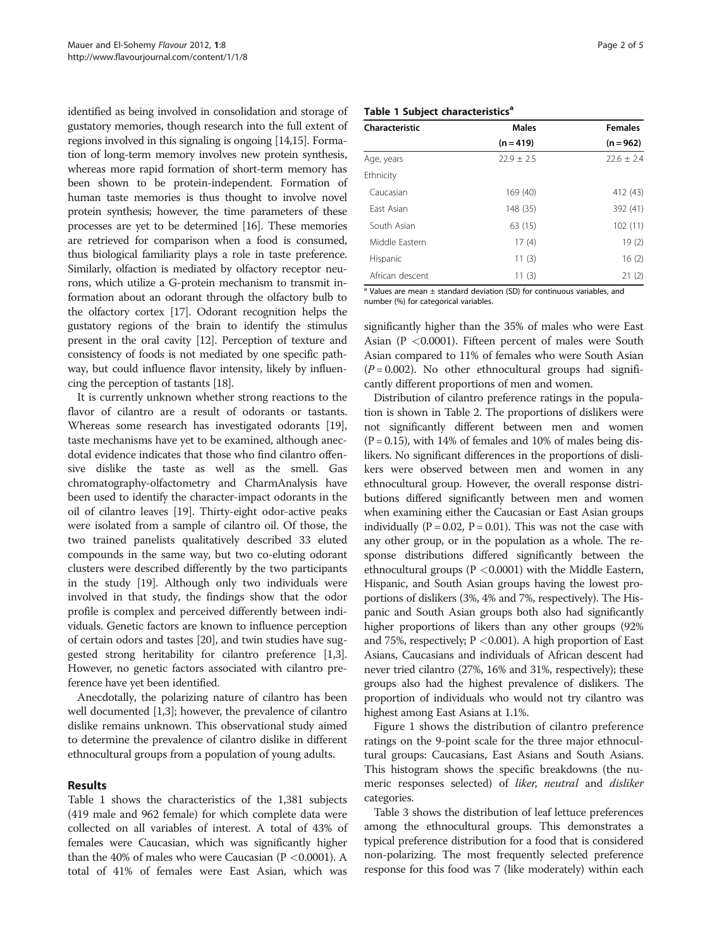identified as being involved in consolidation and storage of gustatory memories, though research into the full extent of regions involved in this signaling is ongoing [\[14,15\]](#page-4-0). Formation of long-term memory involves new protein synthesis, whereas more rapid formation of short-term memory has been shown to be protein-independent. Formation of human taste memories is thus thought to involve novel protein synthesis; however, the time parameters of these processes are yet to be determined [[16](#page-4-0)]. These memories are retrieved for comparison when a food is consumed, thus biological familiarity plays a role in taste preference. Similarly, olfaction is mediated by olfactory receptor neurons, which utilize a G-protein mechanism to transmit information about an odorant through the olfactory bulb to the olfactory cortex [\[17\]](#page-4-0). Odorant recognition helps the gustatory regions of the brain to identify the stimulus present in the oral cavity [\[12](#page-4-0)]. Perception of texture and consistency of foods is not mediated by one specific pathway, but could influence flavor intensity, likely by influencing the perception of tastants [\[18\]](#page-4-0).

It is currently unknown whether strong reactions to the flavor of cilantro are a result of odorants or tastants. Whereas some research has investigated odorants [[19](#page-4-0)], taste mechanisms have yet to be examined, although anecdotal evidence indicates that those who find cilantro offensive dislike the taste as well as the smell. Gas chromatography-olfactometry and CharmAnalysis have been used to identify the character-impact odorants in the oil of cilantro leaves [\[19\]](#page-4-0). Thirty-eight odor-active peaks were isolated from a sample of cilantro oil. Of those, the two trained panelists qualitatively described 33 eluted compounds in the same way, but two co-eluting odorant clusters were described differently by the two participants in the study [[19](#page-4-0)]. Although only two individuals were involved in that study, the findings show that the odor profile is complex and perceived differently between individuals. Genetic factors are known to influence perception of certain odors and tastes [[20](#page-4-0)], and twin studies have suggested strong heritability for cilantro preference [[1,3](#page-4-0)]. However, no genetic factors associated with cilantro preference have yet been identified.

Anecdotally, the polarizing nature of cilantro has been well documented [\[1,3\]](#page-4-0); however, the prevalence of cilantro dislike remains unknown. This observational study aimed to determine the prevalence of cilantro dislike in different ethnocultural groups from a population of young adults.

#### Results

Table 1 shows the characteristics of the 1,381 subjects (419 male and 962 female) for which complete data were collected on all variables of interest. A total of 43% of females were Caucasian, which was significantly higher than the 40% of males who were Caucasian ( $P < 0.0001$ ). A total of 41% of females were East Asian, which was

#### Table 1 Subject characteristics<sup>a</sup>

| Characteristic  | <b>Males</b>   | <b>Females</b> |
|-----------------|----------------|----------------|
|                 | $(n = 419)$    | $(n = 962)$    |
| Age, years      | $22.9 \pm 2.5$ | $22.6 \pm 2.4$ |
| Ethnicity       |                |                |
| Caucasian       | 169 (40)       | 412 (43)       |
| Fast Asian      | 148 (35)       | 392 (41)       |
| South Asian     | 63 (15)        | 102(11)        |
| Middle Eastern  | 17(4)          | 19(2)          |
| Hispanic        | 11(3)          | 16(2)          |
| African descent | 11(3)          | 21(2)          |

<sup>a</sup> Values are mean  $\pm$  standard deviation (SD) for continuous variables, and number (%) for categorical variables.

significantly higher than the 35% of males who were East Asian (P <0.0001). Fifteen percent of males were South Asian compared to 11% of females who were South Asian  $(P = 0.002)$ . No other ethnocultural groups had significantly different proportions of men and women.

Distribution of cilantro preference ratings in the population is shown in Table [2.](#page-2-0) The proportions of dislikers were not significantly different between men and women  $(P = 0.15)$ , with 14% of females and 10% of males being dislikers. No significant differences in the proportions of dislikers were observed between men and women in any ethnocultural group. However, the overall response distributions differed significantly between men and women when examining either the Caucasian or East Asian groups individually  $(P = 0.02, P = 0.01)$ . This was not the case with any other group, or in the population as a whole. The response distributions differed significantly between the ethnocultural groups (P <0.0001) with the Middle Eastern, Hispanic, and South Asian groups having the lowest proportions of dislikers (3%, 4% and 7%, respectively). The Hispanic and South Asian groups both also had significantly higher proportions of likers than any other groups (92% and 75%, respectively;  $P < 0.001$ ). A high proportion of East Asians, Caucasians and individuals of African descent had never tried cilantro (27%, 16% and 31%, respectively); these groups also had the highest prevalence of dislikers. The proportion of individuals who would not try cilantro was highest among East Asians at 1.1%.

Figure [1](#page-2-0) shows the distribution of cilantro preference ratings on the 9-point scale for the three major ethnocultural groups: Caucasians, East Asians and South Asians. This histogram shows the specific breakdowns (the numeric responses selected) of *liker*, neutral and *disliker* categories.

Table [3](#page-3-0) shows the distribution of leaf lettuce preferences among the ethnocultural groups. This demonstrates a typical preference distribution for a food that is considered non-polarizing. The most frequently selected preference response for this food was 7 (like moderately) within each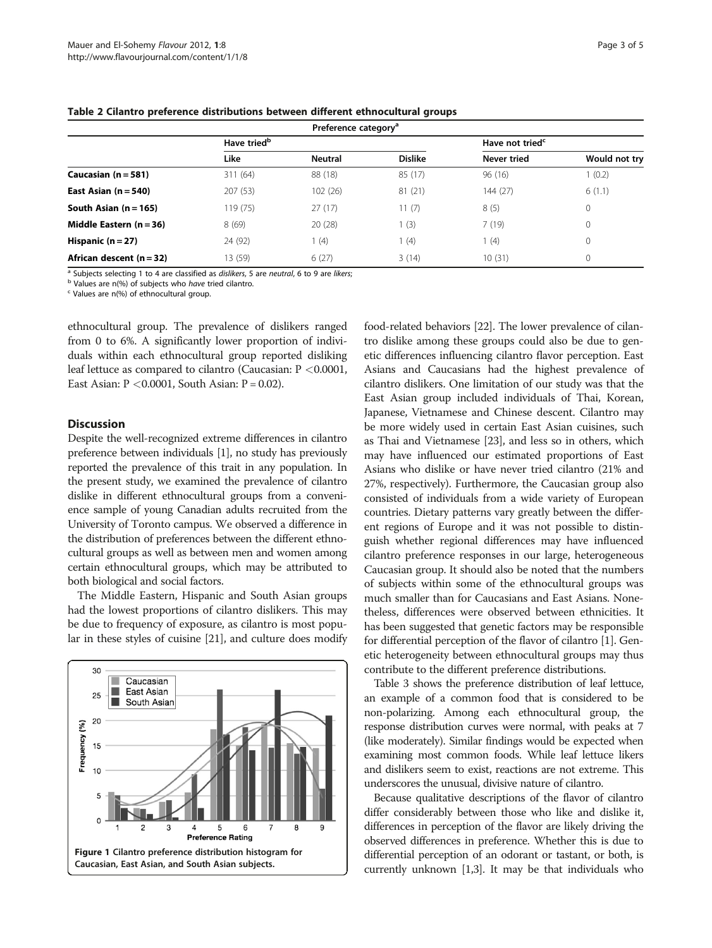| Preference category <sup>a</sup> |                         |                |                |                             |               |  |  |
|----------------------------------|-------------------------|----------------|----------------|-----------------------------|---------------|--|--|
|                                  | Have tried <sup>b</sup> |                |                | Have not tried <sup>c</sup> |               |  |  |
|                                  | Like                    | <b>Neutral</b> | <b>Dislike</b> | Never tried                 | Would not try |  |  |
| Caucasian $(n = 581)$            | 311 (64)                | 88 (18)        | 85(17)         | 96(16)                      | 1(0.2)        |  |  |
| East Asian $(n = 540)$           | 207 (53)                | 102 (26)       | 81 (21)        | 144 (27)                    | 6(1.1)        |  |  |
| South Asian $(n = 165)$          | 119 (75)                | 27(17)         | 11(7)          | 8(5)                        | 0             |  |  |
| Middle Eastern $(n = 36)$        | 8(69)                   | 20(28)         | 1(3)           | 7(19)                       | 0             |  |  |
| Hispanic $(n = 27)$              | 24 (92)                 | l (4)          | 1(4)           | (4)                         | 0             |  |  |
| African descent $(n=32)$         | 13 (59)                 | 6(27)          | 3(14)          | 10(31)                      | 0             |  |  |

<span id="page-2-0"></span>Table 2 Cilantro preference distributions between different ethnocultural groups

<sup>a</sup> Subjects selecting 1 to 4 are classified as *dislikers*, 5 are neutral, 6 to 9 are likers; b Values are n(%) of subjects who have tried cilantro. c Values are n(%) of ethnocultural group.

ethnocultural group. The prevalence of dislikers ranged from 0 to 6%. A significantly lower proportion of individuals within each ethnocultural group reported disliking leaf lettuce as compared to cilantro (Caucasian: P <0.0001, East Asian:  $P < 0.0001$ , South Asian:  $P = 0.02$ ).

#### **Discussion**

Despite the well-recognized extreme differences in cilantro preference between individuals [[1](#page-4-0)], no study has previously reported the prevalence of this trait in any population. In the present study, we examined the prevalence of cilantro dislike in different ethnocultural groups from a convenience sample of young Canadian adults recruited from the University of Toronto campus. We observed a difference in the distribution of preferences between the different ethnocultural groups as well as between men and women among certain ethnocultural groups, which may be attributed to both biological and social factors.

The Middle Eastern, Hispanic and South Asian groups had the lowest proportions of cilantro dislikers. This may be due to frequency of exposure, as cilantro is most popular in these styles of cuisine [\[21](#page-4-0)], and culture does modify



food-related behaviors [[22](#page-4-0)]. The lower prevalence of cilantro dislike among these groups could also be due to genetic differences influencing cilantro flavor perception. East Asians and Caucasians had the highest prevalence of cilantro dislikers. One limitation of our study was that the East Asian group included individuals of Thai, Korean, Japanese, Vietnamese and Chinese descent. Cilantro may be more widely used in certain East Asian cuisines, such as Thai and Vietnamese [\[23\]](#page-4-0), and less so in others, which may have influenced our estimated proportions of East Asians who dislike or have never tried cilantro (21% and 27%, respectively). Furthermore, the Caucasian group also consisted of individuals from a wide variety of European countries. Dietary patterns vary greatly between the different regions of Europe and it was not possible to distinguish whether regional differences may have influenced cilantro preference responses in our large, heterogeneous Caucasian group. It should also be noted that the numbers of subjects within some of the ethnocultural groups was much smaller than for Caucasians and East Asians. Nonetheless, differences were observed between ethnicities. It has been suggested that genetic factors may be responsible for differential perception of the flavor of cilantro [[1\]](#page-4-0). Genetic heterogeneity between ethnocultural groups may thus contribute to the different preference distributions.

Table [3](#page-3-0) shows the preference distribution of leaf lettuce, an example of a common food that is considered to be non-polarizing. Among each ethnocultural group, the response distribution curves were normal, with peaks at 7 (like moderately). Similar findings would be expected when examining most common foods. While leaf lettuce likers and dislikers seem to exist, reactions are not extreme. This underscores the unusual, divisive nature of cilantro.

Because qualitative descriptions of the flavor of cilantro differ considerably between those who like and dislike it, differences in perception of the flavor are likely driving the observed differences in preference. Whether this is due to differential perception of an odorant or tastant, or both, is currently unknown [\[1,3\]](#page-4-0). It may be that individuals who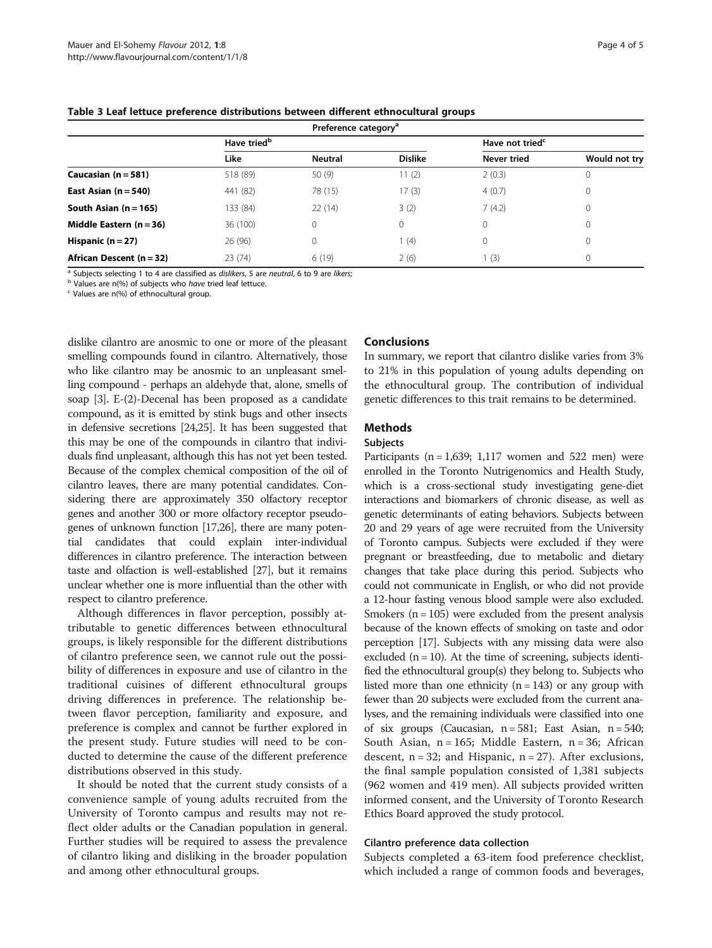| Preference category <sup>a</sup> |                         |                |                |                             |               |  |  |
|----------------------------------|-------------------------|----------------|----------------|-----------------------------|---------------|--|--|
|                                  | Have tried <sup>b</sup> |                |                | Have not tried <sup>c</sup> |               |  |  |
|                                  | Like                    | <b>Neutral</b> | <b>Dislike</b> | Never tried                 | Would not try |  |  |
| Caucasian $(n = 581)$            | 518 (89)                | 50(9)          | 11(2)          | 2(0.3)                      | 0             |  |  |
| East Asian $(n = 540)$           | 441 (82)                | 78 (15)        | 17(3)          | 4(0.7)                      | 0             |  |  |
| South Asian $(n = 165)$          | 133 (84)                | 22(14)         | 3(2)           | 7(4.2)                      | 0             |  |  |
| Middle Eastern $(n = 36)$        | 36 (100)                | 0              | $\mathbf 0$    | 0                           | 0             |  |  |
| Hispanic $(n = 27)$              | 26(96)                  | 0              | 1(4)           | 0                           | 0             |  |  |
| African Descent (n = 32)         | 23(74)                  | 6(19)          | 2(6)           | (3)                         | $\mathbf{0}$  |  |  |

<span id="page-3-0"></span>Table 3 Leaf lettuce preference distributions between different ethnocultural groups

<sup>a</sup> Subjects selecting 1 to 4 are classified as *dislikers*, 5 are neutral, 6 to 9 are likers; <br><sup>b</sup> Values are n(%) of subjects who have tried leaf lettuce.<br><sup>c</sup> Values are n(%) of ethnocultural group.

dislike cilantro are anosmic to one or more of the pleasant smelling compounds found in cilantro. Alternatively, those who like cilantro may be anosmic to an unpleasant smelling compound - perhaps an aldehyde that, alone, smells of soap [\[3](#page-4-0)]. E-(2)-Decenal has been proposed as a candidate compound, as it is emitted by stink bugs and other insects in defensive secretions [\[24,25\]](#page-4-0). It has been suggested that this may be one of the compounds in cilantro that individuals find unpleasant, although this has not yet been tested. Because of the complex chemical composition of the oil of cilantro leaves, there are many potential candidates. Considering there are approximately 350 olfactory receptor genes and another 300 or more olfactory receptor pseudogenes of unknown function [\[17,26](#page-4-0)], there are many potential candidates that could explain inter-individual differences in cilantro preference. The interaction between taste and olfaction is well-established [\[27\]](#page-4-0), but it remains unclear whether one is more influential than the other with respect to cilantro preference.

Although differences in flavor perception, possibly attributable to genetic differences between ethnocultural groups, is likely responsible for the different distributions of cilantro preference seen, we cannot rule out the possibility of differences in exposure and use of cilantro in the traditional cuisines of different ethnocultural groups driving differences in preference. The relationship between flavor perception, familiarity and exposure, and preference is complex and cannot be further explored in the present study. Future studies will need to be conducted to determine the cause of the different preference distributions observed in this study.

It should be noted that the current study consists of a convenience sample of young adults recruited from the University of Toronto campus and results may not reflect older adults or the Canadian population in general. Further studies will be required to assess the prevalence of cilantro liking and disliking in the broader population and among other ethnocultural groups.

### Conclusions

In summary, we report that cilantro dislike varies from 3% to 21% in this population of young adults depending on the ethnocultural group. The contribution of individual genetic differences to this trait remains to be determined.

## Methods

## **Subjects**

Participants ( $n = 1,639$ ; 1,117 women and 522 men) were enrolled in the Toronto Nutrigenomics and Health Study, which is a cross-sectional study investigating gene-diet interactions and biomarkers of chronic disease, as well as genetic determinants of eating behaviors. Subjects between 20 and 29 years of age were recruited from the University of Toronto campus. Subjects were excluded if they were pregnant or breastfeeding, due to metabolic and dietary changes that take place during this period. Subjects who could not communicate in English, or who did not provide a 12-hour fasting venous blood sample were also excluded. Smokers ( $n = 105$ ) were excluded from the present analysis because of the known effects of smoking on taste and odor perception [\[17\]](#page-4-0). Subjects with any missing data were also excluded  $(n = 10)$ . At the time of screening, subjects identified the ethnocultural group(s) they belong to. Subjects who listed more than one ethnicity ( $n = 143$ ) or any group with fewer than 20 subjects were excluded from the current analyses, and the remaining individuals were classified into one of six groups (Caucasian,  $n = 581$ ; East Asian,  $n = 540$ ; South Asian,  $n = 165$ ; Middle Eastern,  $n = 36$ ; African descent,  $n = 32$ ; and Hispanic,  $n = 27$ ). After exclusions, the final sample population consisted of 1,381 subjects (962 women and 419 men). All subjects provided written informed consent, and the University of Toronto Research Ethics Board approved the study protocol.

#### Cilantro preference data collection

Subjects completed a 63-item food preference checklist, which included a range of common foods and beverages,